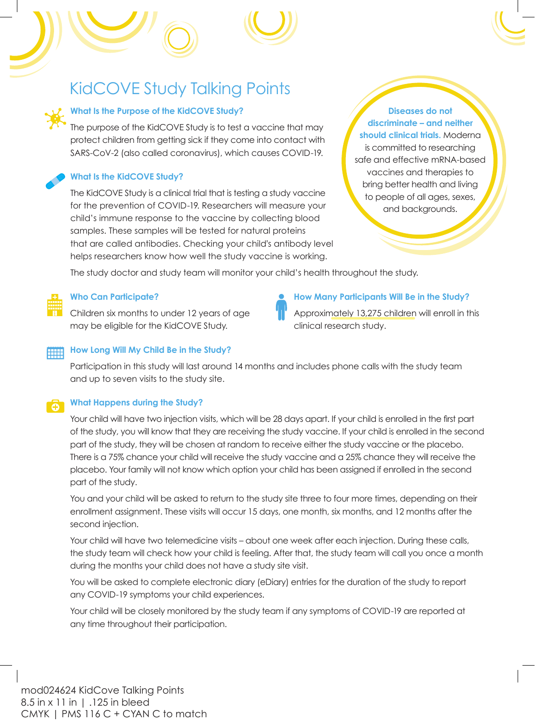# KidCOVE Study Talking Points

# **What Is the Purpose of the KidCOVE Study?**

The purpose of the KidCOVE Study is to test a vaccine that may protect children from getting sick if they come into contact with SARS-CoV-2 (also called coronavirus), which causes COVID-19.

# **What Is the KidCOVE Study?**

The KidCOVE Study is a clinical trial that is testing a study vaccine for the prevention of COVID-19. Researchers will measure your child's immune response to the vaccine by collecting blood samples. These samples will be tested for natural proteins that are called antibodies. Checking your child's antibody level helps researchers know how well the study vaccine is working.

**Diseases do not discriminate – and neither should clinical trials.** Moderna is committed to researching safe and effective mRNA-based vaccines and therapies to bring better health and living to people of all ages, sexes, and backgrounds.

The study doctor and study team will monitor your child's health throughout the study.

## **Who Can Participate?**

Children six months to under 12 years of age may be eligible for the KidCOVE Study.



# **How Many Participants Will Be in the Study?**

Approximately 13,275 children will enroll in this clinical research study.

#### **How Long Will My Child Be in the Study? HINK**

Participation in this study will last around 14 months and includes phone calls with the study team and up to seven visits to the study site.

#### **What Happens during the Study?** ිට

Your child will have two injection visits, which will be 28 days apart. If your child is enrolled in the first part of the study, you will know that they are receiving the study vaccine. If your child is enrolled in the second part of the study, they will be chosen at random to receive either the study vaccine or the placebo. There is a 75% chance your child will receive the study vaccine and a 25% chance they will receive the placebo. Your family will not know which option your child has been assigned if enrolled in the second part of the study.

You and your child will be asked to return to the study site three to four more times, depending on their enrollment assignment. These visits will occur 15 days, one month, six months, and 12 months after the second injection.

Your child will have two telemedicine visits – about one week after each injection. During these calls, the study team will check how your child is feeling. After that, the study team will call you once a month during the months your child does not have a study site visit.

You will be asked to complete electronic diary (eDiary) entries for the duration of the study to report any COVID-19 symptoms your child experiences.

Your child will be closely monitored by the study team if any symptoms of COVID-19 are reported at any time throughout their participation.